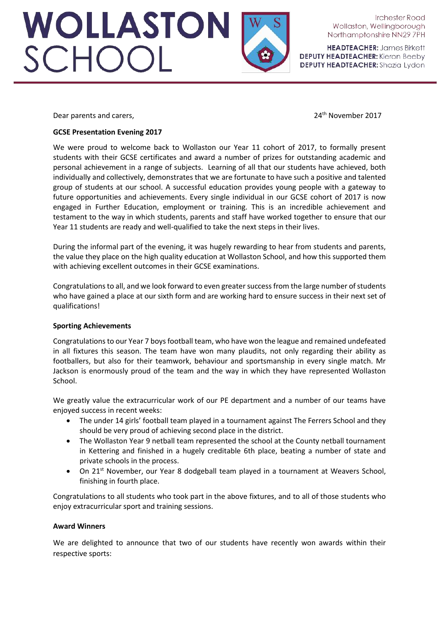WOLLASTON<br>SCHOOL

Irchester Road Wollaston, Wellingborough Northamptonshire NN29 7PH

**HEADTEACHER: James Birkett DEPUTY HEADTEACHER:** Kieron Beeby **DEPUTY HEADTEACHER:** Shazia Lydon

Dear parents and carers, **24th** November 2017

# **GCSE Presentation Evening 2017**

We were proud to welcome back to Wollaston our Year 11 cohort of 2017, to formally present students with their GCSE certificates and award a number of prizes for outstanding academic and personal achievement in a range of subjects. Learning of all that our students have achieved, both individually and collectively, demonstrates that we are fortunate to have such a positive and talented group of students at our school. A successful education provides young people with a gateway to future opportunities and achievements. Every single individual in our GCSE cohort of 2017 is now engaged in Further Education, employment or training. This is an incredible achievement and testament to the way in which students, parents and staff have worked together to ensure that our Year 11 students are ready and well-qualified to take the next steps in their lives.

During the informal part of the evening, it was hugely rewarding to hear from students and parents, the value they place on the high quality education at Wollaston School, and how this supported them with achieving excellent outcomes in their GCSE examinations.

Congratulations to all, and we look forward to even greater success from the large number of students who have gained a place at our sixth form and are working hard to ensure success in their next set of qualifications!

### **Sporting Achievements**

Congratulations to our Year 7 boys football team, who have won the league and remained undefeated in all fixtures this season. The team have won many plaudits, not only regarding their ability as footballers, but also for their teamwork, behaviour and sportsmanship in every single match. Mr Jackson is enormously proud of the team and the way in which they have represented Wollaston School.

We greatly value the extracurricular work of our PE department and a number of our teams have enjoyed success in recent weeks:

- The under 14 girls' football team played in a tournament against The Ferrers School and they should be very proud of achieving second place in the district.
- The Wollaston Year 9 netball team represented the school at the County netball tournament in Kettering and finished in a hugely creditable 6th place, beating a number of state and private schools in the process.
- On 21<sup>st</sup> November, our Year 8 dodgeball team played in a tournament at Weavers School, finishing in fourth place.

Congratulations to all students who took part in the above fixtures, and to all of those students who enjoy extracurricular sport and training sessions.

# **Award Winners**

We are delighted to announce that two of our students have recently won awards within their respective sports: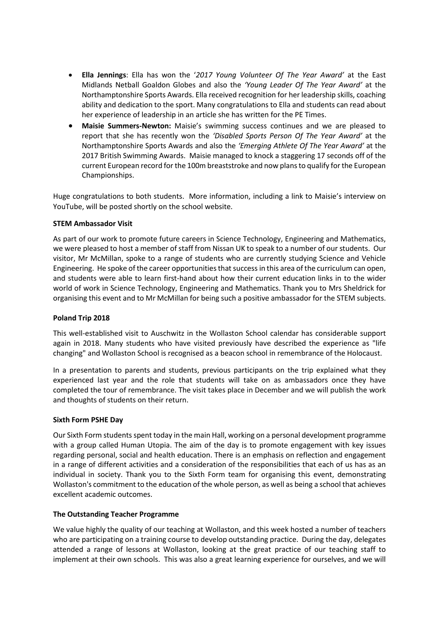- **Ella Jennings**: Ella has won the '*2017 Young Volunteer Of The Year Award'* at the East Midlands Netball Goaldon Globes and also the *'Young Leader Of The Year Award'* at the Northamptonshire Sports Awards. Ella received recognition for her leadership skills, coaching ability and dedication to the sport. Many congratulations to Ella and students can read about her experience of leadership in an article she has written for the PE Times.
- **Maisie Summers-Newton:** Maisie's swimming success continues and we are pleased to report that she has recently won the *'Disabled Sports Person Of The Year Award'* at the Northamptonshire Sports Awards and also the *'Emerging Athlete Of The Year Award'* at the 2017 British Swimming Awards. Maisie managed to knock a staggering 17 seconds off of the current European record for the 100m breaststroke and now plans to qualify for the European Championships.

Huge congratulations to both students. More information, including a link to Maisie's interview on YouTube, will be posted shortly on the school website.

### **STEM Ambassador Visit**

As part of our work to promote future careers in Science Technology, Engineering and Mathematics, we were pleased to host a member of staff from Nissan UK to speak to a number of our students. Our visitor, Mr McMillan, spoke to a range of students who are currently studying Science and Vehicle Engineering. He spoke of the career opportunities that success in this area of the curriculum can open, and students were able to learn first-hand about how their current education links in to the wider world of work in Science Technology, Engineering and Mathematics. Thank you to Mrs Sheldrick for organising this event and to Mr McMillan for being such a positive ambassador for the STEM subjects.

### **Poland Trip 2018**

This well-established visit to Auschwitz in the Wollaston School calendar has considerable support again in 2018. Many students who have visited previously have described the experience as "life changing" and Wollaston School is recognised as a beacon school in remembrance of the Holocaust.

In a presentation to parents and students, previous participants on the trip explained what they experienced last year and the role that students will take on as ambassadors once they have completed the tour of remembrance. The visit takes place in December and we will publish the work and thoughts of students on their return.

### **Sixth Form PSHE Day**

Our Sixth Form students spent today in the main Hall, working on a personal development programme with a group called Human Utopia. The aim of the day is to promote engagement with key issues regarding personal, social and health education. There is an emphasis on reflection and engagement in a range of different activities and a consideration of the responsibilities that each of us has as an individual in society. Thank you to the Sixth Form team for organising this event, demonstrating Wollaston's commitment to the education of the whole person, as well as being a school that achieves excellent academic outcomes.

## **The Outstanding Teacher Programme**

We value highly the quality of our teaching at Wollaston, and this week hosted a number of teachers who are participating on a training course to develop outstanding practice. During the day, delegates attended a range of lessons at Wollaston, looking at the great practice of our teaching staff to implement at their own schools. This was also a great learning experience for ourselves, and we will